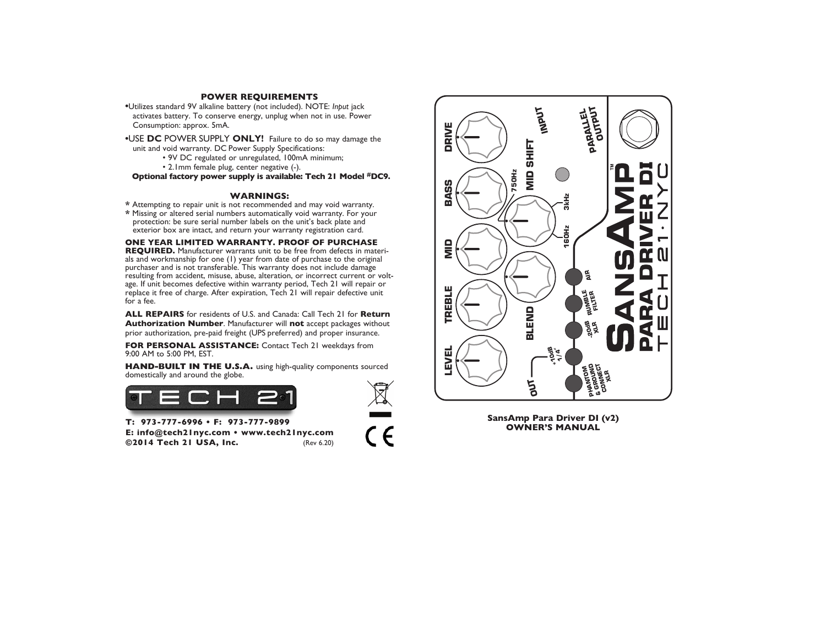### **POWER REQUIREMENTS**

- **•**Utilizes standard 9V alkaline battery (not included). NOTE: *Input* jack activates battery. To conserve energy, unplug when not in use. Power Consumption: approx. 5mA.
- **•**USE **DC** POWER SUPPLY **ONLY!** Failure to do so may damage the unit and void warranty. DC Power Supply Specifications:
	- 9V DC regulated or unregulated, 100mA minimum;
		- 2.1mm female plug, center negative (-).

**Optional factory power supply is available: Tech 21 Model #DC9.**

- **WARNINGS: \*** Attempting to repair unit is not recommended and may void warranty.
- **\*** Missing or altered serial numbers automatically void warranty. For your protection: be sure serial number labels on the unit's back plate and exterior box are intact, and return your warranty registration card.

# **ONE YEAR LIMITED WARRANTY. PROOF OF PURCHASE**

**REQUIRED.** Manufacturer warrants unit to be free from defects in materials and workmanship for one (1) year from date of purchase to the original purchaser and is not transferable. This warranty does not include damage resulting from accident, misuse, abuse, alteration, or incorrect current or voltage. If unit becomes defective within warranty period, Tech 21 will repair or replace it free of charge. After expiration, Tech 21 will repair defective unit for a fee.

**ALL REPAIRS** for residents of U.S. and Canada: Call Tech 21 for **Return Authorization Number**. Manufacturer will **not** accept packages without prior authorization, pre-paid freight (UPS preferred) and proper insurance.

**FOR PERSONAL ASSISTANCE:** Contact Tech 21 weekdays from 9:00 AM to 5:00 PM, EST.

**HAND-BUILT IN THE U.S.A.** using high-quality components sourced domestically and around the globe.





 $\zeta \in$ 



**SansAmp Para Driver DI (v2) OWNER'S MANUAL**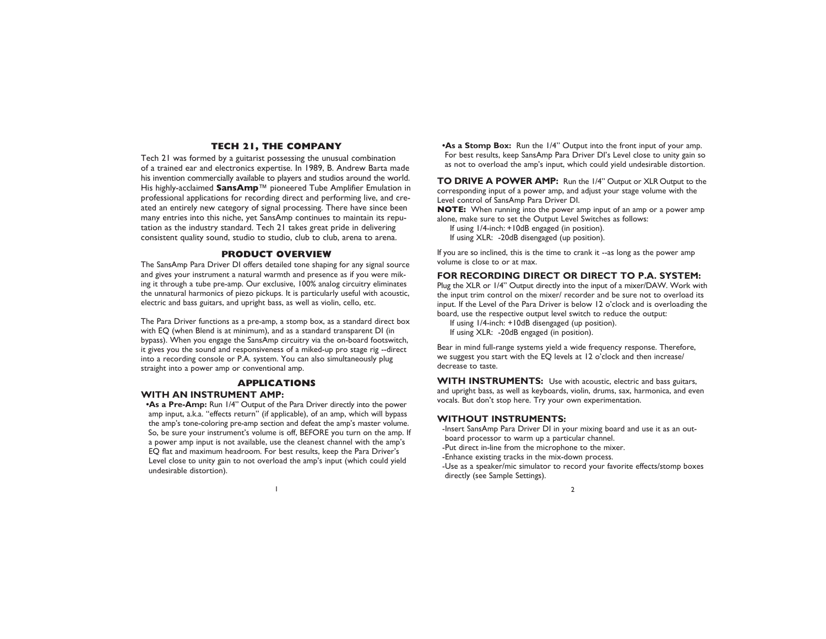# **TECH 21, THE COMPANY**

Tech 21 was formed by a guitarist possessing the unusual combination of a trained ear and electronics expertise. In 1989, B. Andrew Barta made his invention commercially available to players and studios around the world. His highly-acclaimed **SansAmp**™ pioneered Tube Amplifier Emulation in professional applications for recording direct and performing live, and created an entirely new category of signal processing. There have since been many entries into this niche, yet SansAmp continues to maintain its reputation as the industry standard. Tech 21 takes great pride in delivering consistent quality sound, studio to studio, club to club, arena to arena.

#### **PRODUCT OVERVIEW**

The SansAmp Para Driver DI offers detailed tone shaping for any signal source and gives your instrument a natural warmth and presence as if you were miking it through a tube pre-amp. Our exclusive, 100% analog circuitry eliminates the unnatural harmonics of piezo pickups. It is particularly useful with acoustic, electric and bass guitars, and upright bass, as well as violin, cello, etc.

The Para Driver functions as a pre-amp, a stomp box, as a standard direct box with EQ (when Blend is at minimum), and as a standard transparent DI (in bypass). When you engage the SansAmp circuitry via the on-board footswitch, it gives you the sound and responsiveness of a miked-up pro stage rig --direct into a recording console or P.A. system. You can also simultaneously plug straight into a power amp or conventional amp.

#### **APPLICATIONS**

# **WITH AN INSTRUMENT AMP:**

**•As a Pre-Amp:** Run 1/4" Output of the Para Driver directly into the power amp input, a.k.a. "effects return" (if applicable), of an amp, which will bypass the amp's tone-coloring pre-amp section and defeat the amp's master volume. So, be sure your instrument's volume is off, BEFORE you turn on the amp. If a power amp input is not available, use the cleanest channel with the amp's EQ flat and maximum headroom. For best results, keep the Para Driver's Level close to unity gain to not overload the amp's input (which could yield undesirable distortion).

**•As a Stomp Box:** Run the 1/4" Output into the front input of your amp. For best results, keep SansAmp Para Driver DI's Level close to unity gain so as not to overload the amp's input, which could yield undesirable distortion.

**TO DRIVE A POWER AMP:** Run the 1/4" Output or XLR Output to the corresponding input of a power amp, and adjust your stage volume with the Level control of SansAmp Para Driver DI.

**NOTE:** When running into the power amp input of an amp or a power amp alone, make sure to set the Output Level Switches as follows:

If using 1/4-inch: +10dB engaged (in position).

If using XLR: -20dB disengaged (up position).

If you are so inclined, this is the time to crank it --as long as the power amp volume is close to or at max.

# **FOR RECORDING DIRECT OR DIRECT TO P.A. SYSTEM:**

Plug the XLR or 1/4" Output directly into the input of a mixer/DAW. Work with the input trim control on the mixer/ recorder and be sure not to overload its input. If the Level of the Para Driver is below 12 o'clock and is overloading the board, use the respective output level switch to reduce the output:

If using 1/4-inch: +10dB disengaged (up position). If using XLR: -20dB engaged (in position).

Bear in mind full-range systems yield a wide frequency response. Therefore, we suggest you start with the EQ levels at 12 o'clock and then increase/ decrease to taste.

**WITH INSTRUMENTS:** Use with acoustic, electric and bass guitars, and upright bass, as well as keyboards, violin, drums, sax, harmonica, and even vocals. But don't stop here. Try your own experimentation.

### **WITHOUT INSTRUMENTS:**

-Insert SansAmp Para Driver DI in your mixing board and use it as an outboard processor to warm up a particular channel.

-Put direct in-line from the microphone to the mixer.

-Enhance existing tracks in the mix-down process.

-Use as a speaker/mic simulator to record your favorite effects/stomp boxes directly (see Sample Settings).

 $\frac{1}{2}$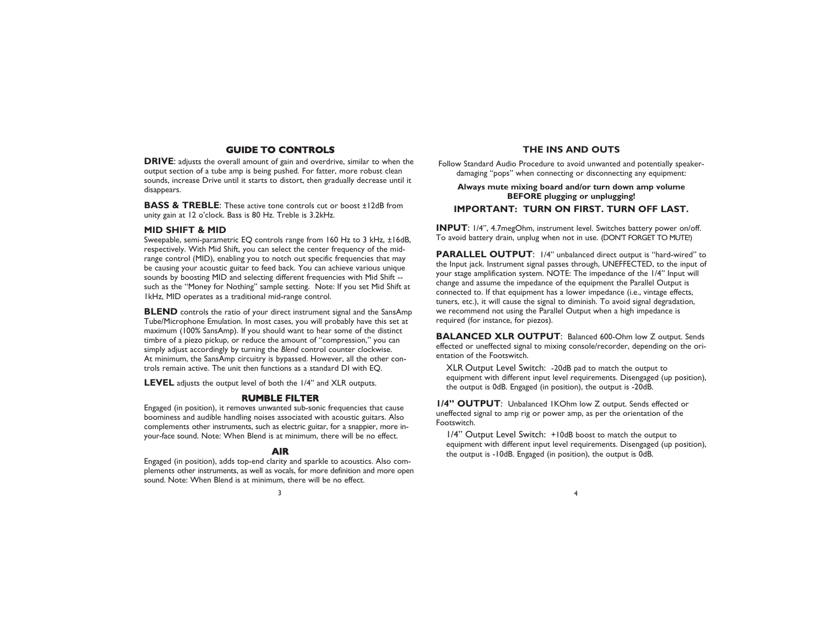# **GUIDE TO CONTROLS**

**DRIVE:** adjusts the overall amount of gain and overdrive, similar to when the output section of a tube amp is being pushed. For fatter, more robust clean sounds, increase Drive until it starts to distort, then gradually decrease until it disappears.

**BASS & TREBLE**: These active tone controls cut or boost ±12dB from unity gain at 12 o'clock. Bass is 80 Hz. Treble is 3.2kHz.

## **MID SHIFT & MID**

Sweepable, semi-parametric EQ controls range from 160 Hz to 3 kHz, ±16dB, respectively. With Mid Shift, you can select the center frequency of the midrange control (MID), enabling you to notch out specific frequencies that may be causing your acoustic guitar to feed back. You can achieve various unique sounds by boosting MID and selecting different frequencies with Mid Shift - such as the "Money for Nothing" sample setting. Note: If you set Mid Shift at 1kHz, MID operates as a traditional mid-range control.

**BLEND** controls the ratio of your direct instrument signal and the SansAmp Tube/Microphone Emulation. In most cases, you will probably have this set at maximum (100% SansAmp). If you should want to hear some of the distinct timbre of a piezo pickup, or reduce the amount of "compression," you can simply adjust accordingly by turning the *Blend* control counter clockwise. At minimum, the SansAmp circuitry is bypassed. However, all the other controls remain active. The unit then functions as a standard DI with EQ.

**LEVEL** adjusts the output level of both the 1/4" and XLR outputs.

## **RUMBLE FILTER**

Engaged (in position), it removes unwanted sub-sonic frequencies that cause boominess and audible handling noises associated with acoustic guitars. Also complements other instruments, such as electric guitar, for a snappier, more inyour-face sound. Note: When Blend is at minimum, there will be no effect.

#### **AIR**

Engaged (in position), adds top-end clarity and sparkle to acoustics. Also complements other instruments, as well as vocals, for more definition and more open sound. Note: When Blend is at minimum, there will be no effect.

#### **THE INS AND OUTS**

Follow Standard Audio Procedure to avoid unwanted and potentially speakerdamaging "pops" when connecting or disconnecting any equipment:

## **Always mute mixing board and/or turn down amp volume BEFORE plugging or unplugging!**

## **IMPORTANT: TURN ON FIRST. TURN OFF LAST.**

**INPUT**: 1/4", 4.7megOhm, instrument level. Switches battery power on/off. To avoid battery drain, unplug when not in use. (DON'T FORGET TO MUTE!)

**PARALLEL OUTPUT**: 1/4" unbalanced direct output is "hard-wired" to the Input jack. Instrument signal passes through, UNEFFECTED, to the input of your stage amplification system. NOTE: The impedance of the 1/4" Input will change and assume the impedance of the equipment the Parallel Output is connected to. If that equipment has a lower impedance (i.e., vintage effects, tuners, etc.), it will cause the signal to diminish. To avoid signal degradation, we recommend not using the Parallel Output when a high impedance is required (for instance, for piezos).

**BALANCED XLR OUTPUT**: Balanced 600-Ohm low Z output. Sends effected or uneffected signal to mixing console/recorder, depending on the orientation of the Footswitch.

XLR Output Level Switch: -20dB pad to match the output to equipment with different input level requirements. Disengaged (up position), the output is 0dB. Engaged (in position), the output is -20dB.

**1/4" OUTPUT**: Unbalanced 1KOhm low Z output. Sends effected or uneffected signal to amp rig or power amp, as per the orientation of the Footswitch.

1/4" Output Level Switch: +10dB boost to match the output to equipment with different input level requirements. Disengaged (up position), the output is -10dB. Engaged (in position), the output is 0dB.

 $\frac{3}{4}$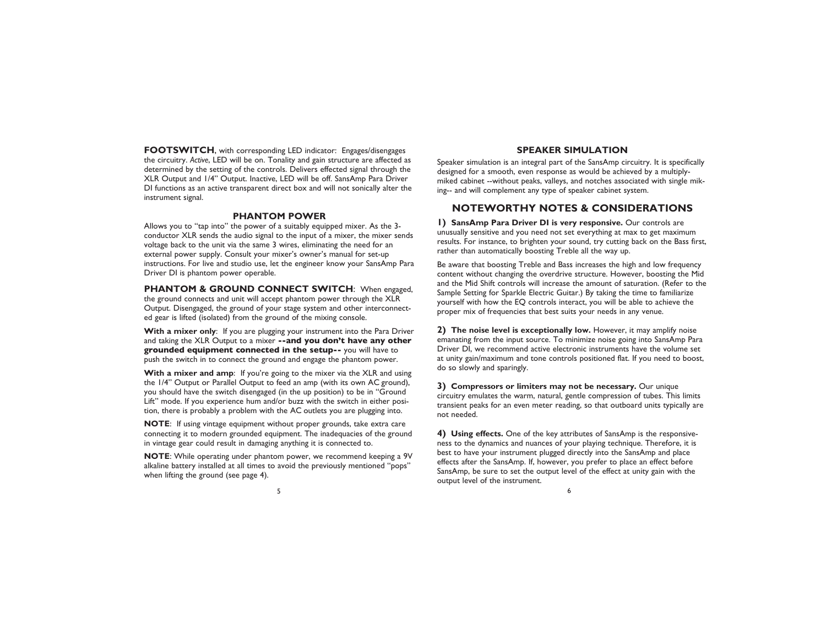**FOOTSWITCH**, with corresponding LED indicator: Engages/disengages the circuitry. *Active*, LED will be on. Tonality and gain structure are affected as determined by the setting of the controls. Delivers effected signal through the XLR Output and 1/4" Output. Inactive, LED will be off. SansAmp Para Driver DI functions as an active transparent direct box and will not sonically alter the instrument signal.

#### **PHANTOM POWER**

Allows you to "tap into" the power of a suitably equipped mixer. As the 3 conductor XLR sends the audio signal to the input of a mixer, the mixer sends voltage back to the unit via the same 3 wires, eliminating the need for an external power supply. Consult your mixer's owner's manual for set-up instructions. For live and studio use, let the engineer know your SansAmp Para Driver DI is phantom power operable.

**PHANTOM & GROUND CONNECT SWITCH**: When engaged, the ground connects and unit will accept phantom power through the XLR Output. Disengaged, the ground of your stage system and other interconnected gear is lifted (isolated) from the ground of the mixing console.

**With a mixer only**: If you are plugging your instrument into the Para Driver and taking the XLR Output to a mixer **--and you don't have any other grounded equipment connected in the setup--** you will have to push the switch in to connect the ground and engage the phantom power.

**With a mixer and amp**: If you're going to the mixer via the XLR and using the 1/4" Output or Parallel Output to feed an amp (with its own AC ground), you should have the switch disengaged (in the up position) to be in "Ground Lift" mode. If you experience hum and/or buzz with the switch in either position, there is probably a problem with the AC outlets you are plugging into.

**NOTE**: If using vintage equipment without proper grounds, take extra care connecting it to modern grounded equipment. The inadequacies of the ground in vintage gear could result in damaging anything it is connected to.

**NOTE**: While operating under phantom power, we recommend keeping a 9V alkaline battery installed at all times to avoid the previously mentioned "pops" when lifting the ground (see page 4).

# **SPEAKER SIMULATION**

Speaker simulation is an integral part of the SansAmp circuitry. It is specifically designed for a smooth, even response as would be achieved by a multiplymiked cabinet --without peaks, valleys, and notches associated with single miking-- and will complement any type of speaker cabinet system.

# **NOTEWORTHY NOTES & CONSIDERATIONS**

**1) SansAmp Para Driver DI is very responsive.** Our controls are unusually sensitive and you need not set everything at max to get maximum results. For instance, to brighten your sound, try cutting back on the Bass first, rather than automatically boosting Treble all the way up.

Be aware that boosting Treble and Bass increases the high and low frequency content without changing the overdrive structure. However, boosting the Mid and the Mid Shift controls will increase the amount of saturation. (Refer to the Sample Setting for Sparkle Electric Guitar.) By taking the time to familiarize yourself with how the EQ controls interact, you will be able to achieve the proper mix of frequencies that best suits your needs in any venue.

**2) The noise level is exceptionally low.** However, it may amplify noise emanating from the input source. To minimize noise going into SansAmp Para Driver DI, we recommend active electronic instruments have the volume set at unity gain/maximum and tone controls positioned flat. If you need to boost, do so slowly and sparingly.

**3) Compressors or limiters may not be necessary.** Our unique circuitry emulates the warm, natural, gentle compression of tubes. This limits transient peaks for an even meter reading, so that outboard units typically are not needed.

**4) Using effects.** One of the key attributes of SansAmp is the responsiveness to the dynamics and nuances of your playing technique. Therefore, it is best to have your instrument plugged directly into the SansAmp and place effects after the SansAmp. If, however, you prefer to place an effect before SansAmp, be sure to set the output level of the effect at unity gain with the output level of the instrument.

 $5<sub>6</sub>$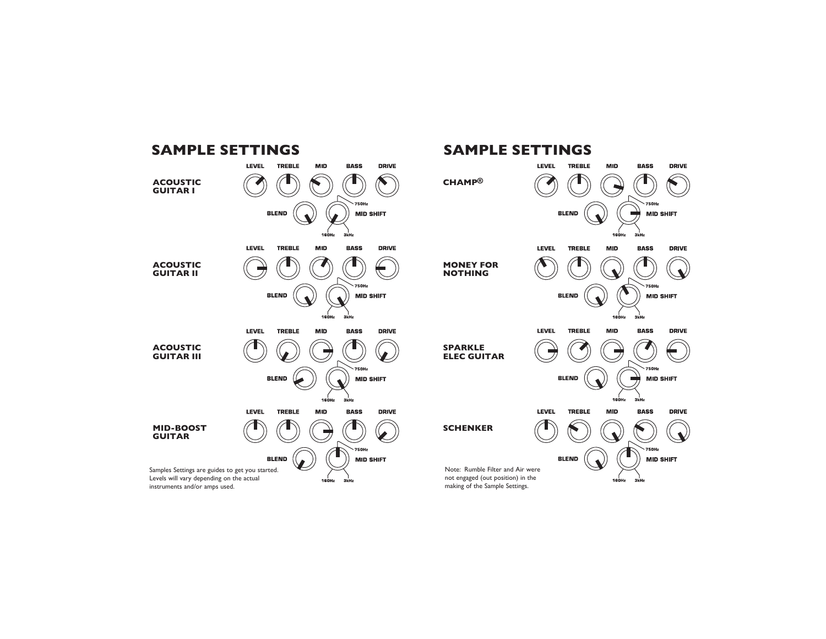



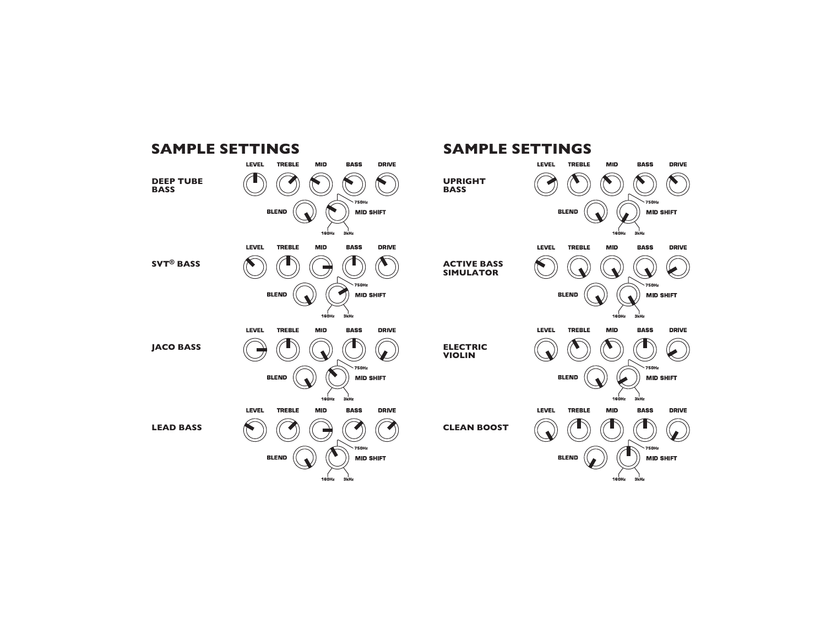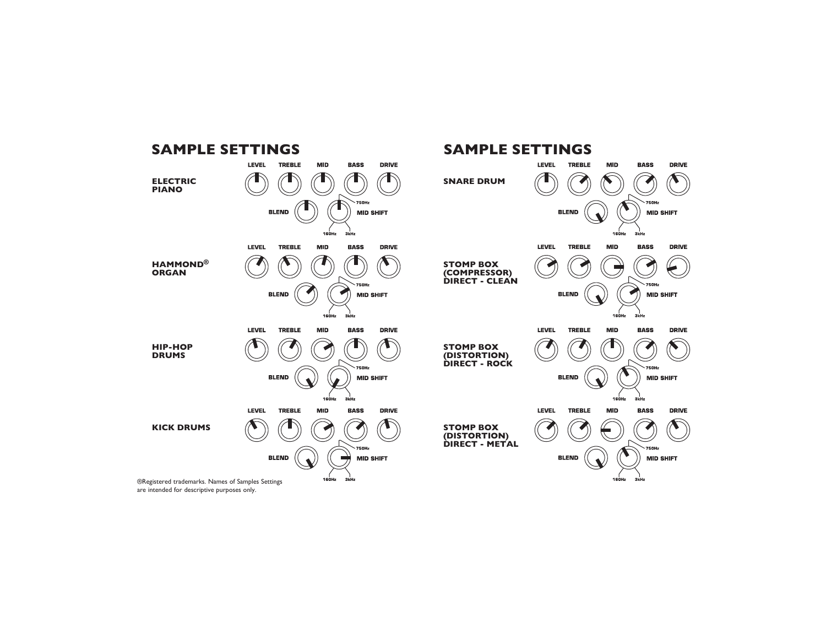

®Registered trademarks. Names of Samples Settings are intended for descriptive purposes only.